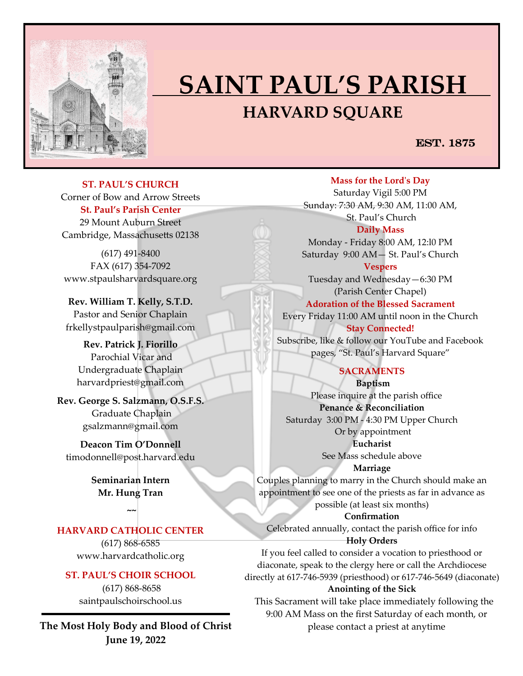

# **SAINT PAUL'S PARISH HARVARD SQUARE**

## EST. 1875

**ST. PAUL'S CHURCH**  Corner of Bow and Arrow Streets **St. Paul's Parish Center** 29 Mount Auburn Street Cambridge, Massachusetts 02138

(617) 491-8400 FAX (617) 354-7092 www.stpaulsharvardsquare.org

**Rev. William T. Kelly, S.T.D.** Pastor and Senior Chaplain frkellystpaulparish@gmail.com

**Rev. Patrick J. Fiorillo** Parochial Vicar and Undergraduate Chaplain harvardpriest@gmail.com

**Rev. George S. Salzmann, O.S.F.S.** Graduate Chaplain gsalzmann@gmail.com

**Deacon Tim O'Donnell**  [timodonnell@post.harvard.edu](mailto:timodonnell@post.harvard.edu)

> **Seminarian Intern Mr. Hung Tran**

> > **~~**

## **HARVARD CATHOLIC CENTER**

(617) 868-6585 www.harvardcatholic.org

#### **ST. PAUL'S CHOIR SCHOOL**

(617) 868-8658 saintpaulschoirschool.us

**The Most Holy Body and Blood of Christ June 19, 2022**

**Mass for the Lord's Day**  Saturday Vigil 5:00 PM Sunday: 7:30 AM, 9:30 AM, 11:00 AM, St. Paul's Church

**Daily Mass** Monday - Friday 8:00 AM, 12:l0 PM Saturday 9:00 AM— St. Paul's Church

**Vespers** Tuesday and Wednesday—6:30 PM (Parish Center Chapel)

**Adoration of the Blessed Sacrament** Every Friday 11:00 AM until noon in the Church **Stay Connected!** 

Subscribe, like & follow our YouTube and Facebook pages, "St. Paul's Harvard Square"

#### **SACRAMENTS**

**Baptism**  Please inquire at the parish office **Penance & Reconciliation** Saturday 3:00 PM - 4:30 PM Upper Church Or by appointment **Eucharist** 

See Mass schedule above

**Marriage** 

Couples planning to marry in the Church should make an appointment to see one of the priests as far in advance as possible (at least six months)

**Confirmation**  Celebrated annually, contact the parish office for info

**Holy Orders** 

If you feel called to consider a vocation to priesthood or diaconate, speak to the clergy here or call the Archdiocese directly at 617-746-5939 (priesthood) or 617-746-5649 (diaconate)

#### **Anointing of the Sick**

 This Sacrament will take place immediately following the 9:00 AM Mass on the first Saturday of each month, or please contact a priest at anytime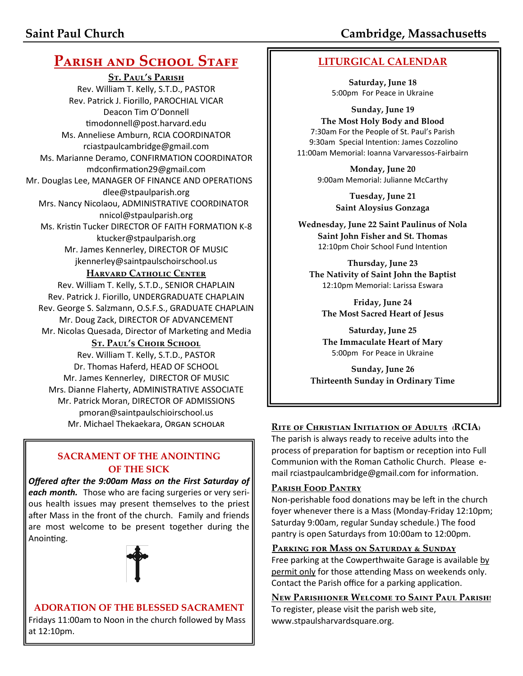# **PARISH AND SCHOOL STAFF**

**St. Paul's Parish** Rev. William T. Kelly, S.T.D., PASTOR Rev. Patrick J. Fiorillo, PAROCHIAL VICAR Deacon Tim O'Donnell [timodonnell@post.harvard.edu](mailto:timodonnell@post.harvard.edu) Ms. Anneliese Amburn, RCIA COORDINATOR rciastpaulcambridge@gmail.com Ms. Marianne Deramo, CONFIRMATION COORDINATOR mdconfirmation29@gmail.com Mr. Douglas Lee, MANAGER OF FINANCE AND OPERATIONS dlee@stpaulparish.org Mrs. Nancy Nicolaou, ADMINISTRATIVE COORDINATOR nnicol@stpaulparish.org Ms. Kristin Tucker DIRECTOR OF FAITH FORMATION K-8 ktucker@stpaulparish.org Mr. James Kennerley, DIRECTOR OF MUSIC jkennerley@saintpaulschoirschool.us

#### **HARVARD CATHOLIC CENTER**

Rev. William T. Kelly, S.T.D., SENIOR CHAPLAIN Rev. Patrick J. Fiorillo, UNDERGRADUATE CHAPLAIN Rev. George S. Salzmann, O.S.F.S., GRADUATE CHAPLAIN Mr. Doug Zack, DIRECTOR OF ADVANCEMENT Mr. Nicolas Quesada, Director of Marketing and Media

#### **St. Paul's Choir School**

Rev. William T. Kelly, S.T.D., PASTOR Dr. Thomas Haferd, HEAD OF SCHOOL Mr. James Kennerley, DIRECTOR OF MUSIC Mrs. Dianne Flaherty, ADMINISTRATIVE ASSOCIATE Mr. Patrick Moran, DIRECTOR OF ADMISSIONS pmoran@saintpaulschioirschool.us

#### **SACRAMENT OF THE ANOINTING OF THE SICK**

*Offered after the 9:00am Mass on the First Saturday of each month.* Those who are facing surgeries or very serious health issues may present themselves to the priest after Mass in the front of the church. Family and friends are most welcome to be present together during the Anointing.



#### **ADORATION OF THE BLESSED SACRAMENT** Fridays 11:00am to Noon in the church followed by Mass at 12:10pm.

**LITURGICAL CALENDAR**

**Saturday, June 18** 5:00pm For Peace in Ukraine

**Sunday, June 19 The Most Holy Body and Blood**  7:30am For the People of St. Paul's Parish 9:30am Special Intention: James Cozzolino 11:00am Memorial: Ioanna Varvaressos-Fairbairn

> **Monday, June 20** 9:00am Memorial: Julianne McCarthy

> > **Tuesday, June 21 Saint Aloysius Gonzaga**

**Wednesday, June 22 Saint Paulinus of Nola Saint John Fisher and St. Thomas**  12:10pm Choir School Fund Intention

**Thursday, June 23 The Nativity of Saint John the Baptist** 12:10pm Memorial: Larissa Eswara

**Friday, June 24 The Most Sacred Heart of Jesus**

**Saturday, June 25 The Immaculate Heart of Mary** 5:00pm For Peace in Ukraine

**Sunday, June 26 Thirteenth Sunday in Ordinary Time**

# Mr. Michael Thekaekara, Organ scholar **RITE OF CHRISTIAN INITIATION OF ADULTS** (RCIA)

The parish is always ready to receive adults into the process of preparation for baptism or reception into Full Communion with the Roman Catholic Church. Please email rciastpaulcambridge@gmail.com for information.

#### **Parish Food Pantry**

Non-perishable food donations may be left in the church foyer whenever there is a Mass (Monday-Friday 12:10pm; Saturday 9:00am, regular Sunday schedule.) The food pantry is open Saturdays from 10:00am to 12:00pm.

#### **Parking for Mass on Saturday & Sunday**

Free parking at the Cowperthwaite Garage is available by permit only for those attending Mass on weekends only. Contact the Parish office for a parking application.

**New Parishioner Welcome to Saint Paul Parish!** To register, please visit the parish web site, www.stpaulsharvardsquare.org.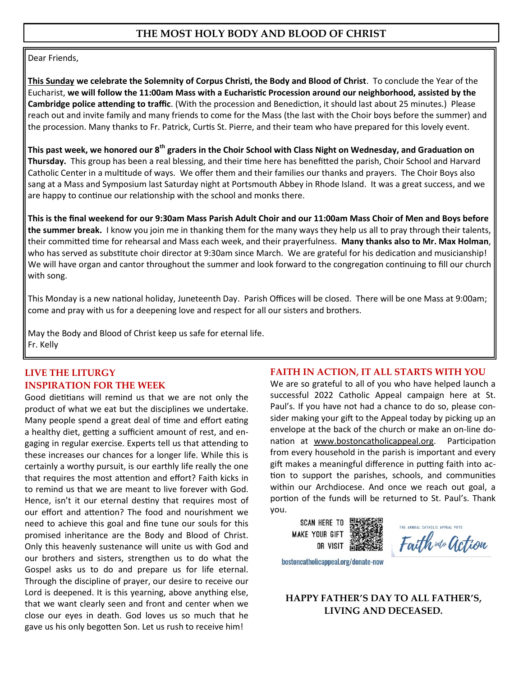#### **THE MOST HOLY BODY AND BLOOD OF CHRIST**

Dear Friends,

**This Sunday we celebrate the Solemnity of Corpus Christi, the Body and Blood of Christ**. To conclude the Year of the Eucharist, **we will follow the 11:00am Mass with a Eucharistic Procession around our neighborhood, assisted by the Cambridge police attending to traffic**. (With the procession and Benediction, it should last about 25 minutes.) Please reach out and invite family and many friends to come for the Mass (the last with the Choir boys before the summer) and the procession. Many thanks to Fr. Patrick, Curtis St. Pierre, and their team who have prepared for this lovely event.

**This past week, we honored our 8th graders in the Choir School with Class Night on Wednesday, and Graduation on Thursday.** This group has been a real blessing, and their time here has benefitted the parish, Choir School and Harvard Catholic Center in a multitude of ways. We offer them and their families our thanks and prayers. The Choir Boys also sang at a Mass and Symposium last Saturday night at Portsmouth Abbey in Rhode Island. It was a great success, and we are happy to continue our relationship with the school and monks there.

**This is the final weekend for our 9:30am Mass Parish Adult Choir and our 11:00am Mass Choir of Men and Boys before the summer break.** I know you join me in thanking them for the many ways they help us all to pray through their talents, their committed time for rehearsal and Mass each week, and their prayerfulness. **Many thanks also to Mr. Max Holman**, who has served as substitute choir director at 9:30am since March. We are grateful for his dedication and musicianship! We will have organ and cantor throughout the summer and look forward to the congregation continuing to fill our church with song.

This Monday is a new national holiday, Juneteenth Day. Parish Offices will be closed. There will be one Mass at 9:00am; come and pray with us for a deepening love and respect for all our sisters and brothers.

May the Body and Blood of Christ keep us safe for eternal life. Fr. Kelly

#### **LIVE THE LITURGY INSPIRATION FOR THE WEEK**

Good dietitians will remind us that we are not only the product of what we eat but the disciplines we undertake. Many people spend a great deal of time and effort eating a healthy diet, getting a sufficient amount of rest, and engaging in regular exercise. Experts tell us that attending to these increases our chances for a longer life. While this is certainly a worthy pursuit, is our earthly life really the one that requires the most attention and effort? Faith kicks in to remind us that we are meant to live forever with God. Hence, isn't it our eternal destiny that requires most of our effort and attention? The food and nourishment we need to achieve this goal and fine tune our souls for this promised inheritance are the Body and Blood of Christ. Only this heavenly sustenance will unite us with God and our brothers and sisters, strengthen us to do what the Gospel asks us to do and prepare us for life eternal. Through the discipline of prayer, our desire to receive our Lord is deepened. It is this yearning, above anything else, that we want clearly seen and front and center when we close our eyes in death. God loves us so much that he gave us his only begotten Son. Let us rush to receive him!

#### **FAITH IN ACTION, IT ALL STARTS WITH YOU**

We are so grateful to all of you who have helped launch a successful 2022 Catholic Appeal campaign here at St. Paul's. If you have not had a chance to do so, please consider making your gift to the Appeal today by picking up an envelope at the back of the church or make an on-line donation at [www.bostoncatholicappeal.org.](http://www.bostoncatholicappeal.org) Participation from every household in the parish is important and every gift makes a meaningful difference in putting faith into action to support the parishes, schools, and communities within our Archdiocese. And once we reach out goal, a portion of the funds will be returned to St. Paul's. Thank you.

**SCAN HERE TO MAKE YOUR GIFT** OR VISIT

THE ANNUAL CATHOLIC APPEAL PUTS Faith wto action

bostoncatholicappeal.org/donate-now

#### **HAPPY FATHER'S DAY TO ALL FATHER'S, LIVING AND DECEASED.**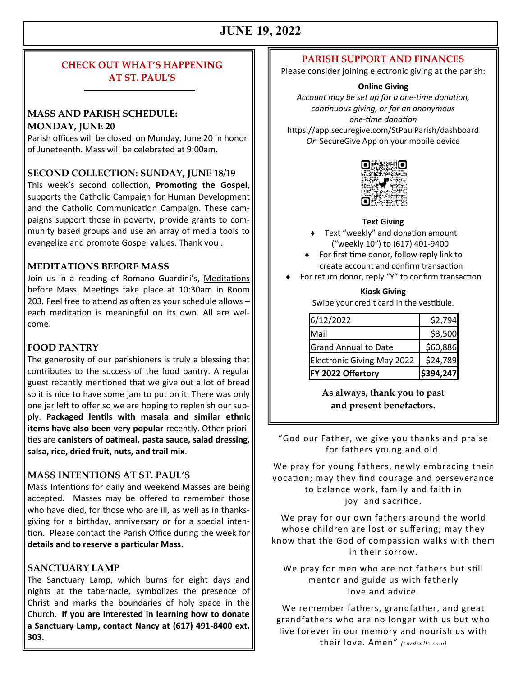# **JUNE 19, 2022**

#### **CHECK OUT WHAT'S HAPPENING AT ST. PAUL'S**

#### **MASS AND PARISH SCHEDULE: MONDAY, JUNE 20**

Parish offices will be closed on Monday, June 20 in honor of Juneteenth. Mass will be celebrated at 9:00am.

#### **SECOND COLLECTION: SUNDAY, JUNE 18/19**

This week's second collection, **Promoting the Gospel,**  supports the Catholic Campaign for Human Development and the Catholic Communication Campaign. These campaigns support those in poverty, provide grants to community based groups and use an array of media tools to evangelize and promote Gospel values. Thank you .

#### **MEDITATIONS BEFORE MASS**

Join us in a reading of Romano Guardini's, Meditations before Mass. Meetings take place at 10:30am in Room 203. Feel free to attend as often as your schedule allows – each meditation is meaningful on its own. All are welcome.

#### **FOOD PANTRY**

The generosity of our parishioners is truly a blessing that contributes to the success of the food pantry. A regular guest recently mentioned that we give out a lot of bread so it is nice to have some jam to put on it. There was only one jar left to offer so we are hoping to replenish our supply. **Packaged lentils with masala and similar ethnic items have also been very popular** recently. Other priorities are **canisters of oatmeal, pasta sauce, salad dressing, salsa, rice, dried fruit, nuts, and trail mix**.

#### **MASS INTENTIONS AT ST. PAUL'S**

Mass Intentions for daily and weekend Masses are being accepted. Masses may be offered to remember those who have died, for those who are ill, as well as in thanksgiving for a birthday, anniversary or for a special intention. Please contact the Parish Office during the week for **details and to reserve a particular Mass.**

#### **SANCTUARY LAMP**

The Sanctuary Lamp, which burns for eight days and nights at the tabernacle, symbolizes the presence of Christ and marks the boundaries of holy space in the Church. **If you are interested in learning how to donate a Sanctuary Lamp, contact Nancy at (617) 491-8400 ext. 303.**

#### **PARISH SUPPORT AND FINANCES**

Please consider joining electronic giving at the parish:

#### **Online Giving**

*Account may be set up for a one-time donation, continuous giving, or for an anonymous one-time donation* https://app.securegive.com/StPaulParish/dashboard *Or* SecureGive App on your mobile device



#### **Text Giving**

- ◆ Text "weekly" and donation amount ("weekly 10") to (617) 401-9400
- ◆ For first time donor, follow reply link to create account and confirm transaction
- For return donor, reply "Y" to confirm transaction

#### **Kiosk Giving**

Swipe your credit card in the vestibule.

| 6/12/2022                         | \$2,794   |
|-----------------------------------|-----------|
| Mail                              | \$3,500   |
| <b>Grand Annual to Date</b>       | \$60,886  |
| <b>Electronic Giving May 2022</b> | \$24,789  |
| FY 2022 Offertory                 | \$394,247 |

**As always, thank you to past and present benefactors.**

"God our Father, we give you thanks and praise for fathers young and old.

We pray for young fathers, newly embracing their vocation; may they find courage and perseverance to balance work, family and faith in joy and sacrifice.

We pray for our own fathers around the world whose children are lost or suffering; may they know that the God of compassion walks with them in their sorrow.

We pray for men who are not fathers but still mentor and guide us with fatherly love and advice.

We remember fathers, grandfather, and great grandfathers who are no longer with us but who live forever in our memory and nourish us with their love. Amen" *(Lor dca lls. com)*